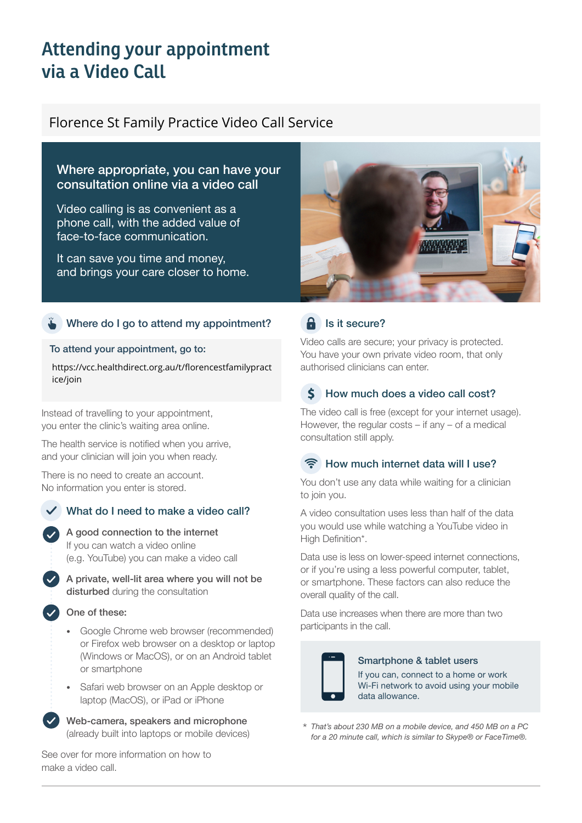# **Attending your appointment via a Video Call**

# Florence St Family Practice Video Call Service

# Where appropriate, you can have your consultation online via a video call

Video calling is as convenient as a phone call, with the added value of face-to-face communication.

It can save you time and money, and brings your care closer to home.

# Where do I go to attend my appointment?

#### To attend your appointment, go to:

https://vcc.healthdirect.org.au/t/florencestfamilypract ice/join

Instead of travelling to your appointment, you enter the clinic's waiting area online.

The health service is notified when you arrive, and your clinician will join you when ready.

There is no need to create an account. No information you enter is stored.

# What do I need to make a video call?



A private, well-lit area where you will not be disturbed during the consultation

#### One of these:

- Google Chrome web browser (recommended) or Firefox web browser on a desktop or laptop (Windows or MacOS), or on an Android tablet or smartphone
- Safari web browser on an Apple desktop or laptop (MacOS), or iPad or iPhone

Web-camera, speakers and microphone (already built into laptops or mobile devices)

See over for more information on how to make a video call.



# $\theta$  Is it secure?

Video calls are secure; your privacy is protected. You have your own private video room, that only authorised clinicians can enter.

#### $\boldsymbol{\zeta}$ How much does a video call cost?

The video call is free (except for your internet usage). However, the regular costs – if any – of a medical consultation still apply.

### How much internet data will I use?

You don't use any data while waiting for a clinician to join you.

A video consultation uses less than half of the data you would use while watching a YouTube video in High Definition\*.

Data use is less on lower-speed internet connections, or if you're using a less powerful computer, tablet, or smartphone. These factors can also reduce the overall quality of the call.

Data use increases when there are more than two participants in the call.



### Smartphone & tablet users

If you can, connect to a home or work Wi-Fi network to avoid using your mobile data allowance.

*That's about 230 MB on a mobile device, and 450 MB on a PC for a 20 minute call, which is similar to Skype® or FaceTime®.* \*